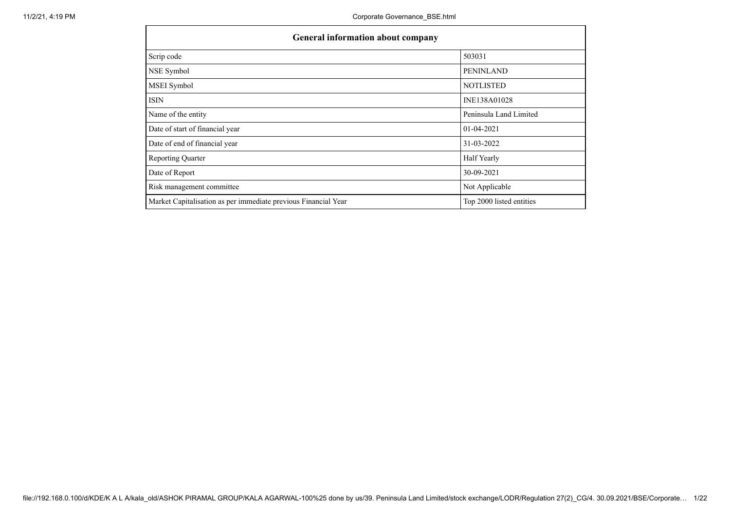| <b>General information about company</b>                       |                          |
|----------------------------------------------------------------|--------------------------|
| Scrip code                                                     | 503031                   |
| NSE Symbol                                                     | <b>PENINLAND</b>         |
| MSEI Symbol                                                    | <b>NOTLISTED</b>         |
| <b>ISIN</b>                                                    | INE138A01028             |
| Name of the entity                                             | Peninsula Land Limited   |
| Date of start of financial year                                | $01-04-2021$             |
| Date of end of financial year                                  | 31-03-2022               |
| <b>Reporting Quarter</b>                                       | Half Yearly              |
| Date of Report                                                 | 30-09-2021               |
| Risk management committee                                      | Not Applicable           |
| Market Capitalisation as per immediate previous Financial Year | Top 2000 listed entities |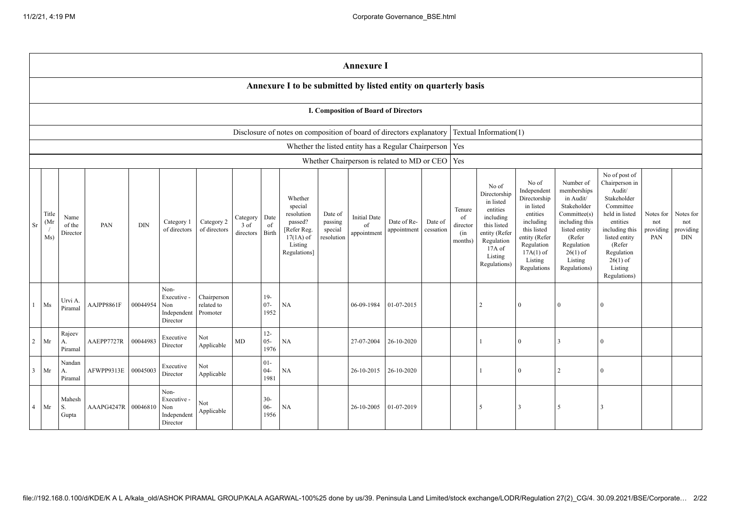|                                                                                                                                                                                                                                                                                                                                                                                                                                                                                                                                                                                                                                                                                                                                                                                                                                                                                                                                                                                                                                                                                                                                                                                                                                                        |                                                                |                         |            |          |                                                       |                                       |    |                                             |                                                                      |  | <b>Annexure I</b> |                                                           |  |                        |          |                |               |  |  |
|--------------------------------------------------------------------------------------------------------------------------------------------------------------------------------------------------------------------------------------------------------------------------------------------------------------------------------------------------------------------------------------------------------------------------------------------------------------------------------------------------------------------------------------------------------------------------------------------------------------------------------------------------------------------------------------------------------------------------------------------------------------------------------------------------------------------------------------------------------------------------------------------------------------------------------------------------------------------------------------------------------------------------------------------------------------------------------------------------------------------------------------------------------------------------------------------------------------------------------------------------------|----------------------------------------------------------------|-------------------------|------------|----------|-------------------------------------------------------|---------------------------------------|----|---------------------------------------------|----------------------------------------------------------------------|--|-------------------|-----------------------------------------------------------|--|------------------------|----------|----------------|---------------|--|--|
|                                                                                                                                                                                                                                                                                                                                                                                                                                                                                                                                                                                                                                                                                                                                                                                                                                                                                                                                                                                                                                                                                                                                                                                                                                                        | Annexure I to be submitted by listed entity on quarterly basis |                         |            |          |                                                       |                                       |    |                                             |                                                                      |  |                   |                                                           |  |                        |          |                |               |  |  |
|                                                                                                                                                                                                                                                                                                                                                                                                                                                                                                                                                                                                                                                                                                                                                                                                                                                                                                                                                                                                                                                                                                                                                                                                                                                        | I. Composition of Board of Directors                           |                         |            |          |                                                       |                                       |    |                                             |                                                                      |  |                   |                                                           |  |                        |          |                |               |  |  |
|                                                                                                                                                                                                                                                                                                                                                                                                                                                                                                                                                                                                                                                                                                                                                                                                                                                                                                                                                                                                                                                                                                                                                                                                                                                        |                                                                |                         |            |          |                                                       |                                       |    |                                             | Disclosure of notes on composition of board of directors explanatory |  |                   |                                                           |  | Textual Information(1) |          |                |               |  |  |
|                                                                                                                                                                                                                                                                                                                                                                                                                                                                                                                                                                                                                                                                                                                                                                                                                                                                                                                                                                                                                                                                                                                                                                                                                                                        |                                                                |                         |            |          |                                                       |                                       |    |                                             |                                                                      |  |                   | Whether the listed entity has a Regular Chairperson   Yes |  |                        |          |                |               |  |  |
|                                                                                                                                                                                                                                                                                                                                                                                                                                                                                                                                                                                                                                                                                                                                                                                                                                                                                                                                                                                                                                                                                                                                                                                                                                                        |                                                                |                         |            |          |                                                       |                                       |    |                                             |                                                                      |  |                   | Whether Chairperson is related to MD or CEO Yes           |  |                        |          |                |               |  |  |
| No of post of<br>No of<br>Number of<br>Chairperson in<br>No of<br>Audit/<br>Independent<br>memberships<br>Directorship<br>Stakeholder<br>Directorship<br>in Audit/<br>Whether<br>in listed<br>Committee<br>Stakeholder<br>special<br>in listed<br>Tenure<br>entities<br>Committee(s)<br>held in listed<br>Title<br>resolution<br>entities<br>Notes for<br>Date of<br><b>Initial Date</b><br>Date<br>including<br>Name<br>of<br>Category<br>(Mr<br>Category 2<br>passing<br>Date of Re-<br>including this<br>passed?<br>Date of<br>including<br>entities<br>Category 1<br>not<br>this listed<br>PAN<br>DIN<br>3 of<br>of<br>director<br>Sr<br>of the<br>of<br>of directors<br>providing<br>of directors<br>[Refer Reg.<br>appointment<br>cessation<br>this listed<br>listed entity<br>including this<br>special<br>Birth<br>entity (Refer<br>(in<br>Director<br>directors<br>appointment<br>Ms)<br>$17(1A)$ of<br>resolution<br>(Refer<br>entity (Refer<br>listed entity<br>PAN<br>Regulation<br>months)<br>Listing<br>Regulation<br>Regulation<br>(Refer<br>17A of<br>$17A(1)$ of<br>$26(1)$ of<br>Regulation<br>Regulations]<br>Listing<br>$26(1)$ of<br>Listing<br>Listing<br>Regulations)<br>Listing<br>Regulations<br>Regulations)<br>Regulations) |                                                                |                         |            |          |                                                       |                                       |    | Notes for<br>not<br>providing<br><b>DIN</b> |                                                                      |  |                   |                                                           |  |                        |          |                |               |  |  |
|                                                                                                                                                                                                                                                                                                                                                                                                                                                                                                                                                                                                                                                                                                                                                                                                                                                                                                                                                                                                                                                                                                                                                                                                                                                        | Ms                                                             | Urvi A.<br>Piramal      | AAJPP8861F | 00044954 | Non-<br>Executive -<br>Non<br>Independent<br>Director | Chairperson<br>related to<br>Promoter |    | $19-$<br>$07 -$<br>1952                     | NA                                                                   |  | 06-09-1984        | 01-07-2015                                                |  | $\overline{2}$         | $\theta$ | $\overline{0}$ | $\mathbf{0}$  |  |  |
| 2                                                                                                                                                                                                                                                                                                                                                                                                                                                                                                                                                                                                                                                                                                                                                                                                                                                                                                                                                                                                                                                                                                                                                                                                                                                      | Mr                                                             | Rajeev<br>А.<br>Piramal | AAEPP7727R | 00044983 | Executive<br>Director                                 | Not<br>Applicable                     | MD | $12 -$<br>$05 -$<br>1976                    | NA                                                                   |  | 27-07-2004        | 26-10-2020                                                |  |                        | $\Omega$ |                | $\Omega$      |  |  |
| $\mathbf{3}$                                                                                                                                                                                                                                                                                                                                                                                                                                                                                                                                                                                                                                                                                                                                                                                                                                                                                                                                                                                                                                                                                                                                                                                                                                           | Mr                                                             | Nandan<br>A.<br>Piramal | AFWPP9313E | 00045003 | Executive<br>Director                                 | Not<br>Applicable                     |    | $01-$<br>$04 -$<br>1981                     | NA                                                                   |  | 26-10-2015        | 26-10-2020                                                |  |                        | $\Omega$ | $\overline{2}$ | $\theta$      |  |  |
| 4                                                                                                                                                                                                                                                                                                                                                                                                                                                                                                                                                                                                                                                                                                                                                                                                                                                                                                                                                                                                                                                                                                                                                                                                                                                      | Mr                                                             | Mahesh<br>S.<br>Gupta   | AAAPG4247R | 00046810 | Non-<br>Executive -<br>Non<br>Independent<br>Director | Not<br>Applicable                     |    | $30 -$<br>$06 -$<br>1956                    | NA                                                                   |  | 26-10-2005        | 01-07-2019                                                |  | 5                      | 3        | 5              | $\mathcal{R}$ |  |  |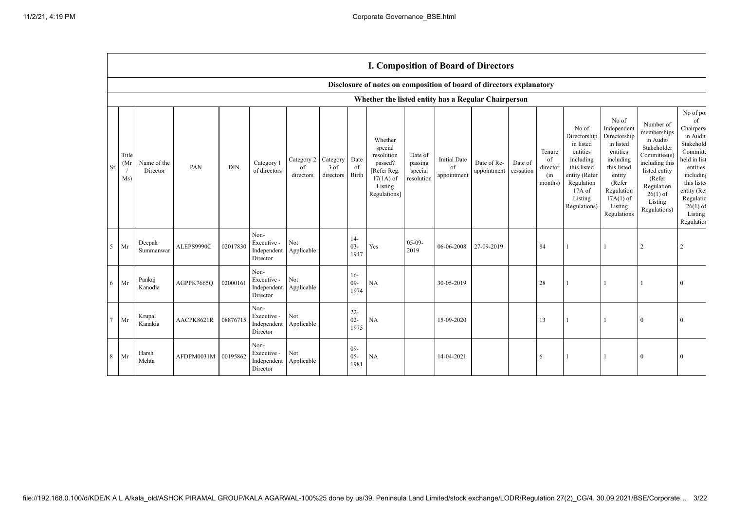|                |                      |                         |                     |            |                                                |                               |                               |                          | Disclosure of notes on composition of board of directors explanatory                                 |                                             |                                          |                            |                      |                                            |                                                                                                                                                |                                                                                                                                                                      |                                                                                                                                                                          |                                                                                                                                                                                              |
|----------------|----------------------|-------------------------|---------------------|------------|------------------------------------------------|-------------------------------|-------------------------------|--------------------------|------------------------------------------------------------------------------------------------------|---------------------------------------------|------------------------------------------|----------------------------|----------------------|--------------------------------------------|------------------------------------------------------------------------------------------------------------------------------------------------|----------------------------------------------------------------------------------------------------------------------------------------------------------------------|--------------------------------------------------------------------------------------------------------------------------------------------------------------------------|----------------------------------------------------------------------------------------------------------------------------------------------------------------------------------------------|
|                |                      |                         |                     |            |                                                |                               |                               |                          | Whether the listed entity has a Regular Chairperson                                                  |                                             |                                          |                            |                      |                                            |                                                                                                                                                |                                                                                                                                                                      |                                                                                                                                                                          |                                                                                                                                                                                              |
| Sr             | Title<br>(Mr)<br>Ms) | Name of the<br>Director | PAN                 | $\rm{DIN}$ | Category 1<br>of directors                     | Category 2<br>of<br>directors | Category<br>3 of<br>directors | Date<br>of<br>Birth      | Whether<br>special<br>resolution<br>passed?<br>[Refer Reg.<br>$17(1A)$ of<br>Listing<br>Regulations] | Date of<br>passing<br>special<br>resolution | <b>Initial Date</b><br>of<br>appointment | Date of Re-<br>appointment | Date of<br>cessation | Tenure<br>of<br>director<br>(in<br>months) | No of<br>Directorship<br>in listed<br>entities<br>including<br>this listed<br>entity (Refer<br>Regulation<br>17A of<br>Listing<br>Regulations) | No of<br>Independent<br>Directorship<br>in listed<br>entities<br>including<br>this listed<br>entity<br>(Refer<br>Regulation<br>$17A(1)$ of<br>Listing<br>Regulations | Number of<br>memberships<br>in Audit/<br>Stakeholder<br>Committee(s)<br>including this<br>listed entity<br>(Refer<br>Regulation<br>$26(1)$ of<br>Listing<br>Regulations) | No of po:<br>of<br>Chairpers<br>in Audit<br>Stakehold<br>Committe<br>held in list<br>entities<br>including<br>this listed<br>entity (Re:<br>Regulatio<br>$26(1)$ of<br>Listing<br>Regulation |
| 5              | Mr                   | Deepak<br>Summanwar     | ALEPS9990C          | 02017830   | Non-<br>Executive -<br>Independent<br>Director | Not<br>Applicable             |                               | $14-$<br>$03 -$<br>1947  | Yes                                                                                                  | $05-09-$<br>2019                            | 06-06-2008                               | 27-09-2019                 |                      | 84                                         |                                                                                                                                                |                                                                                                                                                                      | 2                                                                                                                                                                        |                                                                                                                                                                                              |
| 6              | Mr                   | Pankaj<br>Kanodia       | AGPPK7665Q          | 02000161   | Non-<br>Executive -<br>Independent<br>Director | Not<br>Applicable             |                               | $16-$<br>$09 -$<br>1974  | NA                                                                                                   |                                             | 30-05-2019                               |                            |                      | 28                                         | -1                                                                                                                                             |                                                                                                                                                                      |                                                                                                                                                                          |                                                                                                                                                                                              |
| $\overline{7}$ | Mr                   | Krupal<br>Kanakia       | AACPK8621R          | 08876715   | Non-<br>Executive -<br>Independent<br>Director | Not<br>Applicable             |                               | $22 -$<br>$02 -$<br>1975 | NA                                                                                                   |                                             | 15-09-2020                               |                            |                      | 13                                         | -1                                                                                                                                             |                                                                                                                                                                      | $\theta$                                                                                                                                                                 |                                                                                                                                                                                              |
| 8              | Mr                   | Harsh<br>Mehta          | AFDPM0031M 00195862 |            | Non-<br>Executive -<br>Independent<br>Director | Not<br>Applicable             |                               | $09-$<br>$05 -$<br>1981  | NA                                                                                                   |                                             | 14-04-2021                               |                            |                      | 6                                          |                                                                                                                                                |                                                                                                                                                                      | $\Omega$                                                                                                                                                                 |                                                                                                                                                                                              |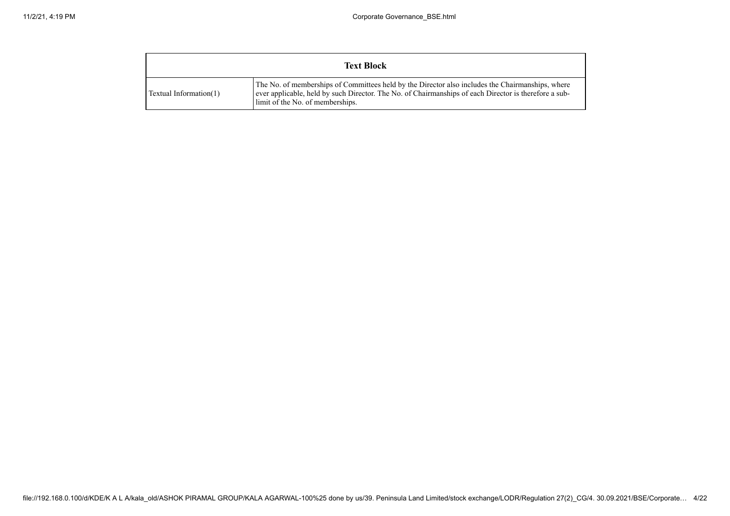|                        | <b>Text Block</b>                                                                                                                                                                                                                              |
|------------------------|------------------------------------------------------------------------------------------------------------------------------------------------------------------------------------------------------------------------------------------------|
| Textual Information(1) | The No. of memberships of Committees held by the Director also includes the Chairman ships, where<br>ever applicable, held by such Director. The No. of Chairmanships of each Director is therefore a sub-<br>limit of the No. of memberships. |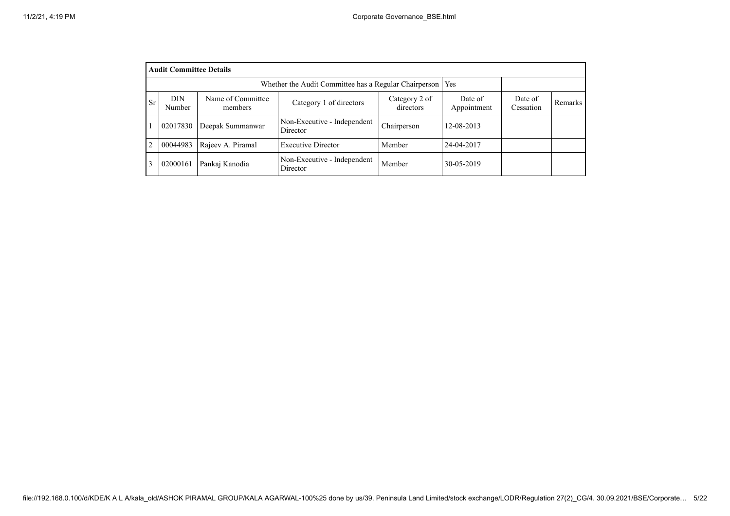|           | <b>Audit Committee Details</b> |                      |                                         |             |            |  |  |  |  |  |  |  |
|-----------|--------------------------------|----------------------|-----------------------------------------|-------------|------------|--|--|--|--|--|--|--|
|           |                                |                      |                                         |             |            |  |  |  |  |  |  |  |
| <b>Sr</b> | <b>DIN</b><br>Number           | Date of<br>Cessation | Remarks                                 |             |            |  |  |  |  |  |  |  |
|           | 02017830                       | Deepak Summanwar     | Non-Executive - Independent<br>Director | Chairperson | 12-08-2013 |  |  |  |  |  |  |  |
| 2         | 00044983                       | Rajeev A. Piramal    | <b>Executive Director</b>               | Member      | 24-04-2017 |  |  |  |  |  |  |  |
|           | 02000161                       | Pankaj Kanodia       | Non-Executive - Independent<br>Director | Member      | 30-05-2019 |  |  |  |  |  |  |  |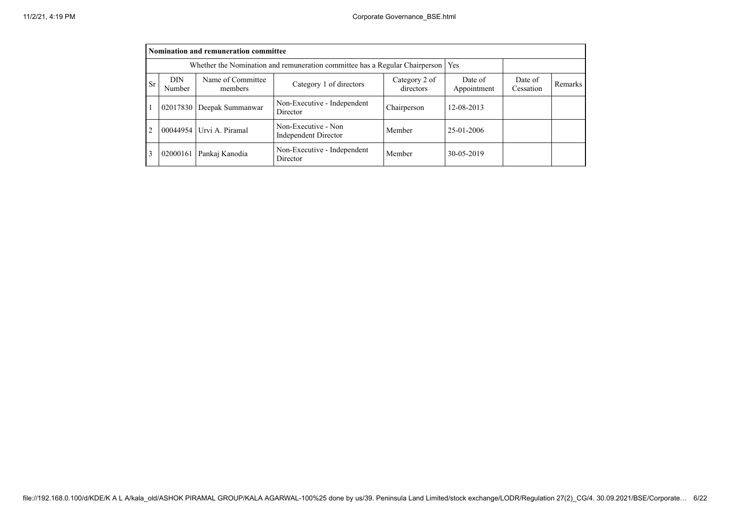|                | Nomination and remuneration committee                                             |                           |                                             |             |            |  |  |  |  |  |  |  |
|----------------|-----------------------------------------------------------------------------------|---------------------------|---------------------------------------------|-------------|------------|--|--|--|--|--|--|--|
|                | Whether the Nomination and remuneration committee has a Regular Chairperson   Yes |                           |                                             |             |            |  |  |  |  |  |  |  |
| Sr             | DIN<br>Number                                                                     | Date of<br>Cessation      | Remarks                                     |             |            |  |  |  |  |  |  |  |
|                |                                                                                   | 02017830 Deepak Summanwar | Non-Executive - Independent<br>Director     | Chairperson | 12-08-2013 |  |  |  |  |  |  |  |
| $\overline{2}$ |                                                                                   | 00044954 Urvi A. Piramal  | Non-Executive - Non<br>Independent Director | Member      | 25-01-2006 |  |  |  |  |  |  |  |
| 3              | 02000161                                                                          | Pankaj Kanodia            | Non-Executive - Independent<br>Director     | Member      | 30-05-2019 |  |  |  |  |  |  |  |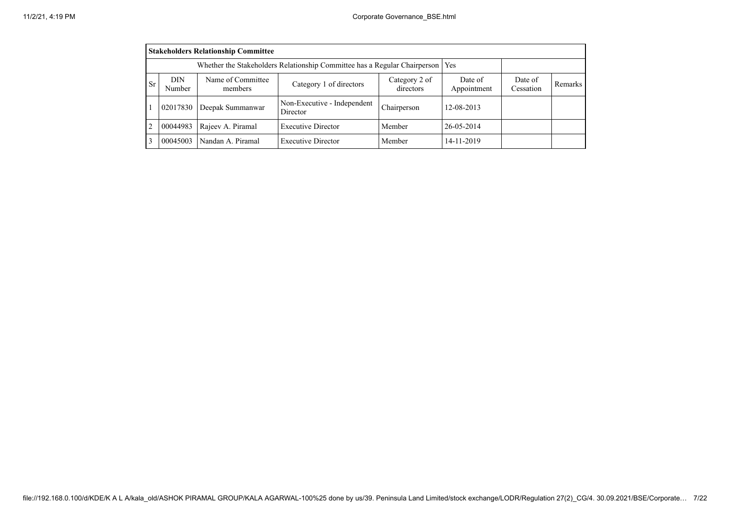|                                                                                                                                                                                  | <b>Stakeholders Relationship Committee</b>                                      |                   |                                         |             |            |  |  |  |  |  |  |
|----------------------------------------------------------------------------------------------------------------------------------------------------------------------------------|---------------------------------------------------------------------------------|-------------------|-----------------------------------------|-------------|------------|--|--|--|--|--|--|
|                                                                                                                                                                                  | Whether the Stakeholders Relationship Committee has a Regular Chairperson   Yes |                   |                                         |             |            |  |  |  |  |  |  |
| Name of Committee<br>Category 2 of<br>DIN<br>Date of<br>Date of<br><b>Sr</b><br>Category 1 of directors<br>Remarks<br>directors<br>Appointment<br>Number<br>Cessation<br>members |                                                                                 |                   |                                         |             |            |  |  |  |  |  |  |
|                                                                                                                                                                                  | 02017830                                                                        | Deepak Summanwar  | Non-Executive - Independent<br>Director | Chairperson | 12-08-2013 |  |  |  |  |  |  |
| $\overline{2}$                                                                                                                                                                   | 00044983                                                                        | Rajeev A. Piramal | <b>Executive Director</b>               | Member      | 26-05-2014 |  |  |  |  |  |  |
| 3                                                                                                                                                                                | 00045003                                                                        | Nandan A. Piramal | <b>Executive Director</b>               | Member      | 14-11-2019 |  |  |  |  |  |  |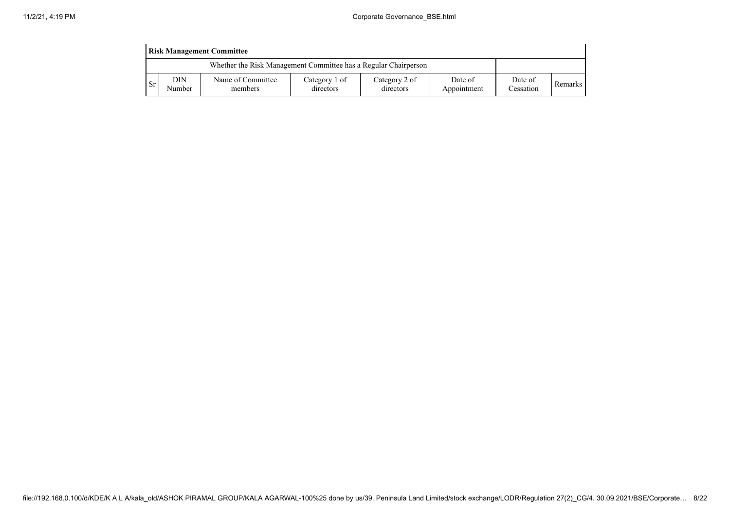|      | <b>Risk Management Committee</b> |                                                                 |                            |                            |                        |                      |         |  |  |  |  |  |
|------|----------------------------------|-----------------------------------------------------------------|----------------------------|----------------------------|------------------------|----------------------|---------|--|--|--|--|--|
|      |                                  | Whether the Risk Management Committee has a Regular Chairperson |                            |                            |                        |                      |         |  |  |  |  |  |
| - Sr | DIN<br>Number                    | Name of Committee<br>members                                    | Category 1 of<br>directors | Category 2 of<br>directors | Date of<br>Appointment | Date of<br>Cessation | Remarks |  |  |  |  |  |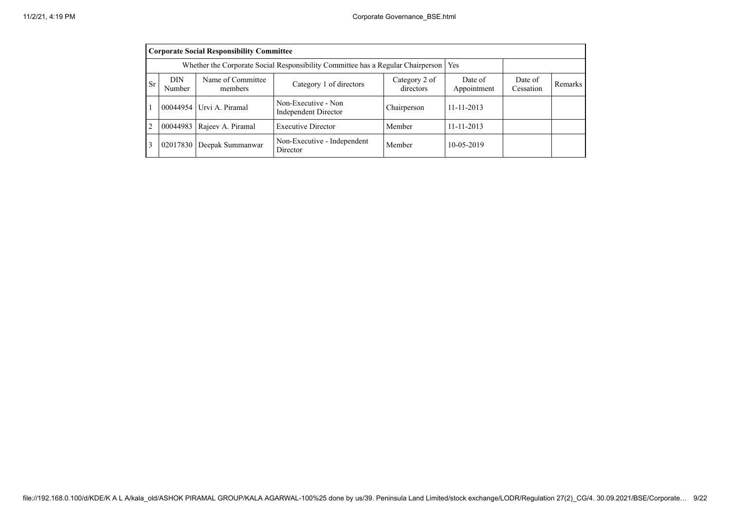|                | <b>Corporate Social Responsibility Committee</b>                                                                                                                           |                             |                                             |             |                  |  |  |  |  |  |  |
|----------------|----------------------------------------------------------------------------------------------------------------------------------------------------------------------------|-----------------------------|---------------------------------------------|-------------|------------------|--|--|--|--|--|--|
|                | Whether the Corporate Social Responsibility Committee has a Regular Chairperson   Yes                                                                                      |                             |                                             |             |                  |  |  |  |  |  |  |
| Sr             | Name of Committee<br><b>DIN</b><br>Date of<br>Date of<br>Category 2 of<br>Category 1 of directors<br>Remarks<br>directors<br>Appointment<br>Number<br>Cessation<br>members |                             |                                             |             |                  |  |  |  |  |  |  |
|                |                                                                                                                                                                            | 00044954 Urvi A. Piramal    | Non-Executive - Non<br>Independent Director | Chairperson | $11 - 11 - 2013$ |  |  |  |  |  |  |
| $\overline{2}$ | 00044983                                                                                                                                                                   | Rajeev A. Piramal           | <b>Executive Director</b>                   | Member      | $11 - 11 - 2013$ |  |  |  |  |  |  |
| 3              |                                                                                                                                                                            | 02017830   Deepak Summanwar | Non-Executive - Independent<br>Director     | Member      | 10-05-2019       |  |  |  |  |  |  |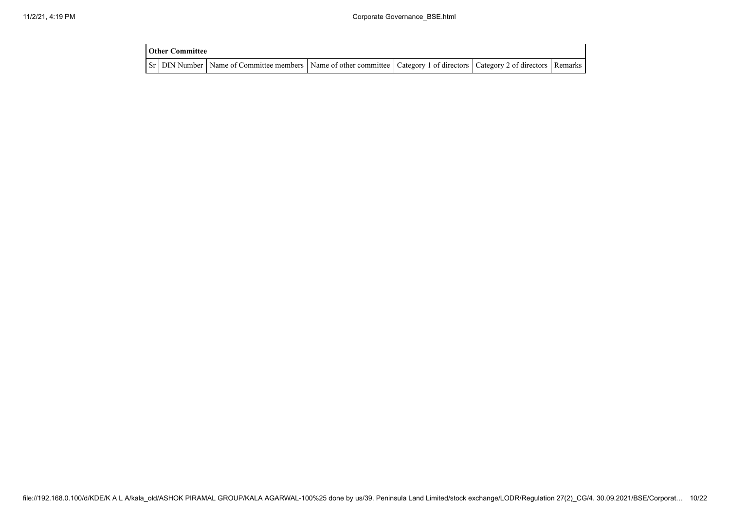| <b>Other Committee</b> |                                                                                                                                     |  |  |
|------------------------|-------------------------------------------------------------------------------------------------------------------------------------|--|--|
|                        | Sr   DIN Number   Name of Committee members   Name of other committee   Category 1 of directors   Category 2 of directors   Remarks |  |  |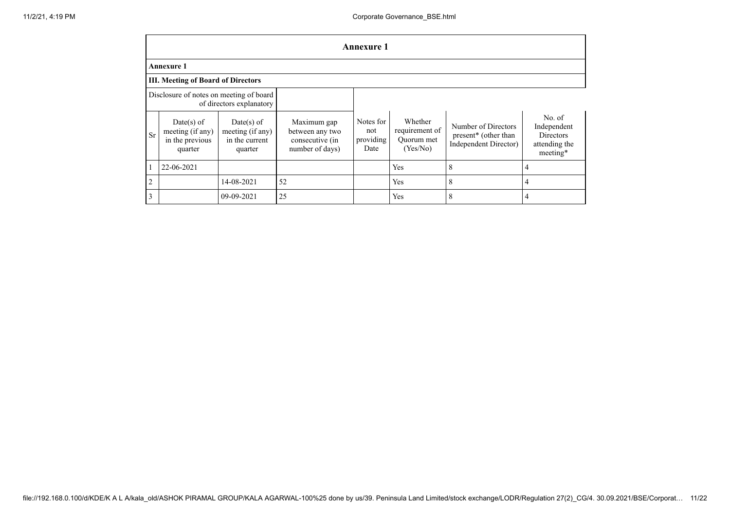|                | <b>Annexure 1</b>                                                   |                                                               |                                                                      |                                       |                                                     |                                                                      |                                                                        |  |  |  |  |  |
|----------------|---------------------------------------------------------------------|---------------------------------------------------------------|----------------------------------------------------------------------|---------------------------------------|-----------------------------------------------------|----------------------------------------------------------------------|------------------------------------------------------------------------|--|--|--|--|--|
|                | <b>Annexure 1</b>                                                   |                                                               |                                                                      |                                       |                                                     |                                                                      |                                                                        |  |  |  |  |  |
|                | <b>III. Meeting of Board of Directors</b>                           |                                                               |                                                                      |                                       |                                                     |                                                                      |                                                                        |  |  |  |  |  |
|                | Disclosure of notes on meeting of board<br>of directors explanatory |                                                               |                                                                      |                                       |                                                     |                                                                      |                                                                        |  |  |  |  |  |
| Sr             | $Date(s)$ of<br>meeting (if any)<br>in the previous<br>quarter      | $Date(s)$ of<br>meeting (if any)<br>in the current<br>quarter | Maximum gap<br>between any two<br>consecutive (in<br>number of days) | Notes for<br>not<br>providing<br>Date | Whether<br>requirement of<br>Quorum met<br>(Yes/No) | Number of Directors<br>present* (other than<br>Independent Director) | No. of<br>Independent<br><b>Directors</b><br>attending the<br>meeting* |  |  |  |  |  |
|                | 22-06-2021                                                          |                                                               |                                                                      |                                       | Yes                                                 | 8                                                                    | 4                                                                      |  |  |  |  |  |
| $\overline{2}$ |                                                                     | 14-08-2021                                                    | 52                                                                   |                                       | Yes                                                 | 8                                                                    | 4                                                                      |  |  |  |  |  |
| 3              |                                                                     | 09-09-2021                                                    | 25                                                                   |                                       | Yes                                                 | 8                                                                    | 4                                                                      |  |  |  |  |  |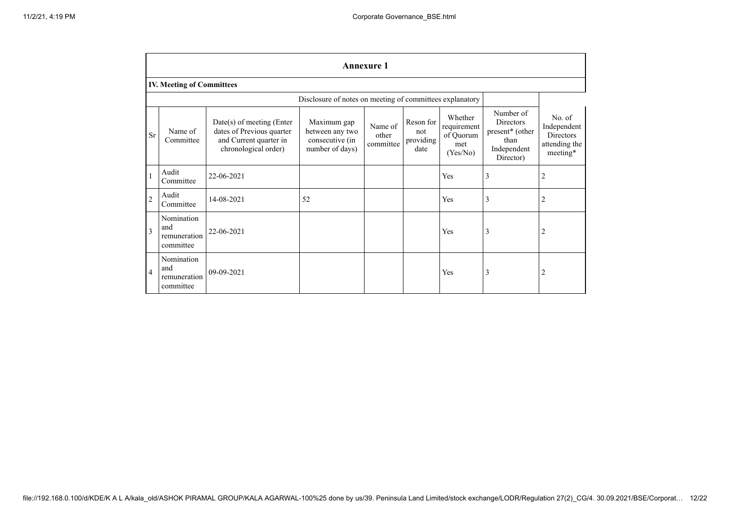|                | <b>Annexure 1</b>                                        |                                                                                                          |                                                                      |                               |                                       |                                                        |                                                                                      |                                                                        |
|----------------|----------------------------------------------------------|----------------------------------------------------------------------------------------------------------|----------------------------------------------------------------------|-------------------------------|---------------------------------------|--------------------------------------------------------|--------------------------------------------------------------------------------------|------------------------------------------------------------------------|
|                | <b>IV. Meeting of Committees</b>                         |                                                                                                          |                                                                      |                               |                                       |                                                        |                                                                                      |                                                                        |
|                | Disclosure of notes on meeting of committees explanatory |                                                                                                          |                                                                      |                               |                                       |                                                        |                                                                                      |                                                                        |
| Sr             | Name of<br>Committee                                     | Date(s) of meeting (Enter<br>dates of Previous quarter<br>and Current quarter in<br>chronological order) | Maximum gap<br>between any two<br>consecutive (in<br>number of days) | Name of<br>other<br>committee | Reson for<br>not<br>providing<br>date | Whether<br>requirement<br>of Quorum<br>met<br>(Yes/No) | Number of<br><b>Directors</b><br>present* (other<br>than<br>Independent<br>Director) | No. of<br>Independent<br><b>Directors</b><br>attending the<br>meeting* |
| 1              | Audit<br>Committee                                       | 22-06-2021                                                                                               |                                                                      |                               |                                       | Yes                                                    | $\overline{\mathbf{3}}$                                                              | 2                                                                      |
| $\overline{c}$ | Audit<br>Committee                                       | 14-08-2021                                                                                               | 52                                                                   |                               |                                       | Yes                                                    | 3                                                                                    | 2                                                                      |
| $\overline{3}$ | Nomination<br>and<br>remuneration<br>committee           | 22-06-2021                                                                                               |                                                                      |                               |                                       | Yes                                                    | 3                                                                                    | 2                                                                      |
| $\overline{4}$ | Nomination<br>and<br>remuneration<br>committee           | 09-09-2021                                                                                               |                                                                      |                               |                                       | Yes                                                    | 3                                                                                    | 2                                                                      |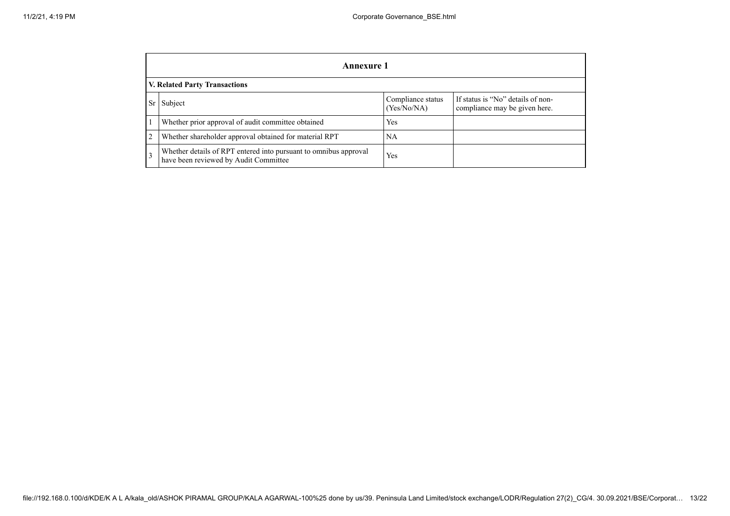|   | Annexure 1                                                                                                |                                  |                                                                    |  |  |
|---|-----------------------------------------------------------------------------------------------------------|----------------------------------|--------------------------------------------------------------------|--|--|
|   | V. Related Party Transactions                                                                             |                                  |                                                                    |  |  |
|   | Subject                                                                                                   | Compliance status<br>(Yes/No/NA) | If status is "No" details of non-<br>compliance may be given here. |  |  |
|   | Whether prior approval of audit committee obtained                                                        | Yes                              |                                                                    |  |  |
| 2 | Whether shareholder approval obtained for material RPT                                                    | NA                               |                                                                    |  |  |
| 3 | Whether details of RPT entered into pursuant to omnibus approval<br>have been reviewed by Audit Committee | Yes                              |                                                                    |  |  |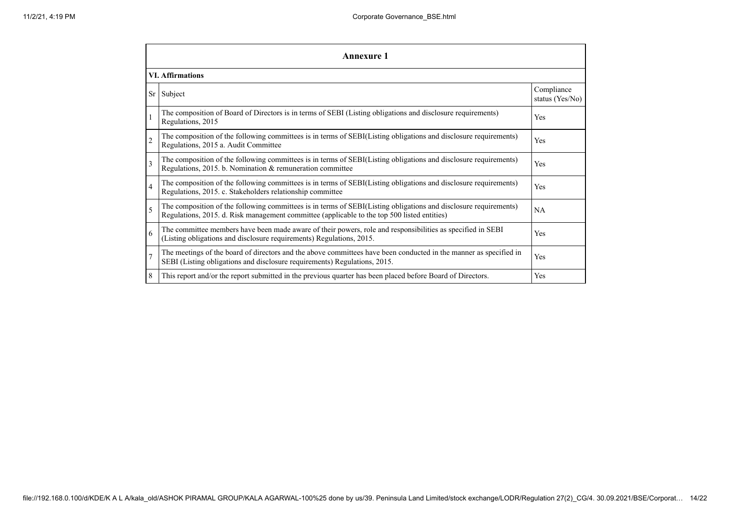|                          | Annexure 1                                                                                                                                                                                                      |                               |  |  |  |
|--------------------------|-----------------------------------------------------------------------------------------------------------------------------------------------------------------------------------------------------------------|-------------------------------|--|--|--|
|                          | <b>VI.</b> Affirmations                                                                                                                                                                                         |                               |  |  |  |
|                          | Sr Subject                                                                                                                                                                                                      | Compliance<br>status (Yes/No) |  |  |  |
|                          | The composition of Board of Directors is in terms of SEBI (Listing obligations and disclosure requirements)<br>Regulations, 2015                                                                                | Yes                           |  |  |  |
| $\overline{c}$           | The composition of the following committees is in terms of SEBI(Listing obligations and disclosure requirements)<br>Regulations, 2015 a. Audit Committee                                                        | Yes                           |  |  |  |
| 3                        | The composition of the following committees is in terms of SEBI(Listing obligations and disclosure requirements)<br>Regulations, 2015. b. Nomination & remuneration committee                                   | Yes                           |  |  |  |
| $\overline{4}$           | The composition of the following committees is in terms of SEBI(Listing obligations and disclosure requirements)<br>Regulations, 2015. c. Stakeholders relationship committee                                   | Yes                           |  |  |  |
| $\overline{\phantom{0}}$ | The composition of the following committees is in terms of SEBI(Listing obligations and disclosure requirements)<br>Regulations, 2015. d. Risk management committee (applicable to the top 500 listed entities) | NA                            |  |  |  |
| 6                        | The committee members have been made aware of their powers, role and responsibilities as specified in SEBI<br>(Listing obligations and disclosure requirements) Regulations, 2015.                              | Yes                           |  |  |  |
| $\overline{7}$           | The meetings of the board of directors and the above committees have been conducted in the manner as specified in<br>SEBI (Listing obligations and disclosure requirements) Regulations, 2015.                  | Yes                           |  |  |  |
| 8                        | This report and/or the report submitted in the previous quarter has been placed before Board of Directors.                                                                                                      | Yes                           |  |  |  |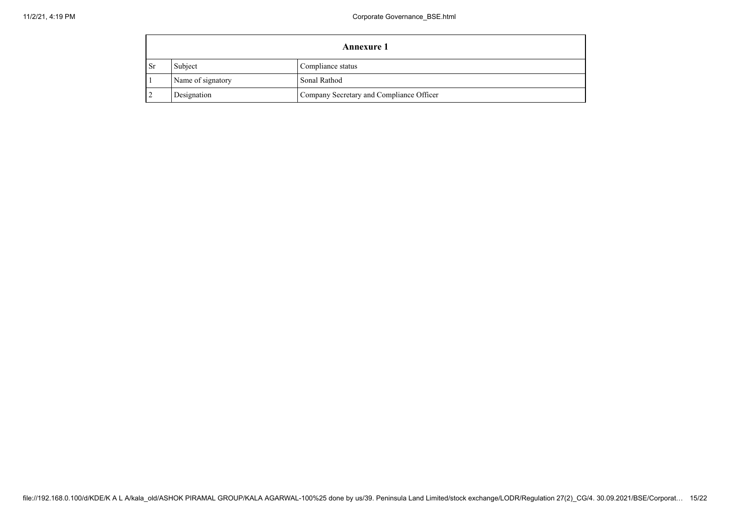|     | <b>Annexure 1</b> |                                          |  |  |
|-----|-------------------|------------------------------------------|--|--|
| -Sr | Subject           | Compliance status                        |  |  |
|     | Name of signatory | Sonal Rathod                             |  |  |
|     | Designation       | Company Secretary and Compliance Officer |  |  |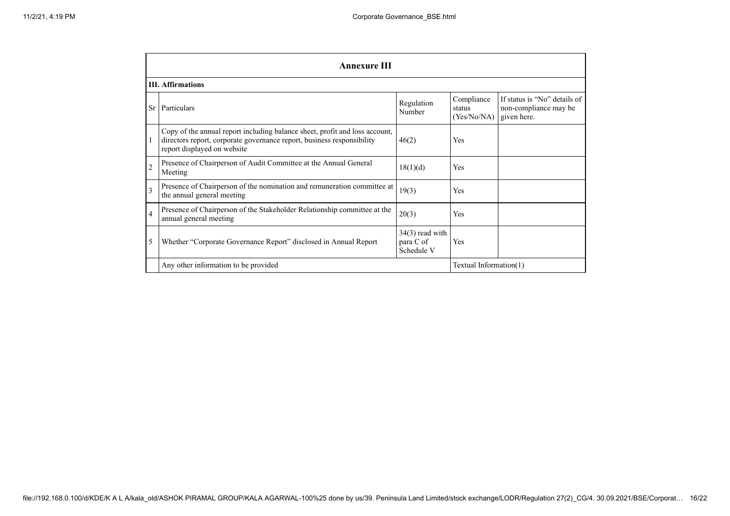|                | <b>Annexure III</b>                                                                                                                                                                  |                                              |                                     |                                                                      |  |  |
|----------------|--------------------------------------------------------------------------------------------------------------------------------------------------------------------------------------|----------------------------------------------|-------------------------------------|----------------------------------------------------------------------|--|--|
|                | <b>III.</b> Affirmations                                                                                                                                                             |                                              |                                     |                                                                      |  |  |
| Sr             | Particulars                                                                                                                                                                          | Regulation<br>Number                         | Compliance<br>status<br>(Yes/No/NA) | If status is "No" details of<br>non-compliance may be<br>given here. |  |  |
|                | Copy of the annual report including balance sheet, profit and loss account,<br>directors report, corporate governance report, business responsibility<br>report displayed on website | 46(2)                                        | Yes                                 |                                                                      |  |  |
| $\overline{2}$ | Presence of Chairperson of Audit Committee at the Annual General<br>Meeting                                                                                                          | 18(1)(d)                                     | Yes                                 |                                                                      |  |  |
| $\mathbf{3}$   | Presence of Chairperson of the nomination and remuneration committee at<br>the annual general meeting                                                                                | 19(3)                                        | Yes                                 |                                                                      |  |  |
| $\overline{4}$ | Presence of Chairperson of the Stakeholder Relationship committee at the<br>annual general meeting                                                                                   | 20(3)                                        | Yes                                 |                                                                      |  |  |
| 5              | Whether "Corporate Governance Report" disclosed in Annual Report                                                                                                                     | $34(3)$ read with<br>para C of<br>Schedule V | Yes                                 |                                                                      |  |  |
|                | Textual Information(1)<br>Any other information to be provided                                                                                                                       |                                              |                                     |                                                                      |  |  |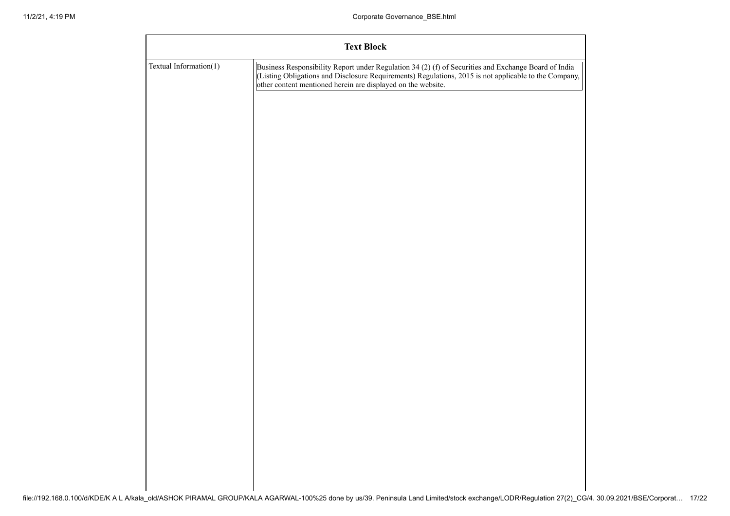|                        | <b>Text Block</b>                                                                                                                                                                                                                                                             |
|------------------------|-------------------------------------------------------------------------------------------------------------------------------------------------------------------------------------------------------------------------------------------------------------------------------|
| Textual Information(1) | Business Responsibility Report under Regulation 34 (2) (f) of Securities and Exchange Board of India<br>(Listing Obligations and Disclosure Requirements) Regulations, 2015 is not applicable to the Company,<br>other content mentioned herein are displayed on the website. |
|                        |                                                                                                                                                                                                                                                                               |
|                        |                                                                                                                                                                                                                                                                               |
|                        |                                                                                                                                                                                                                                                                               |
|                        |                                                                                                                                                                                                                                                                               |
|                        |                                                                                                                                                                                                                                                                               |
|                        |                                                                                                                                                                                                                                                                               |
|                        |                                                                                                                                                                                                                                                                               |
|                        |                                                                                                                                                                                                                                                                               |
|                        |                                                                                                                                                                                                                                                                               |
|                        |                                                                                                                                                                                                                                                                               |
|                        |                                                                                                                                                                                                                                                                               |
|                        |                                                                                                                                                                                                                                                                               |
|                        |                                                                                                                                                                                                                                                                               |
|                        |                                                                                                                                                                                                                                                                               |
|                        |                                                                                                                                                                                                                                                                               |
|                        |                                                                                                                                                                                                                                                                               |
|                        |                                                                                                                                                                                                                                                                               |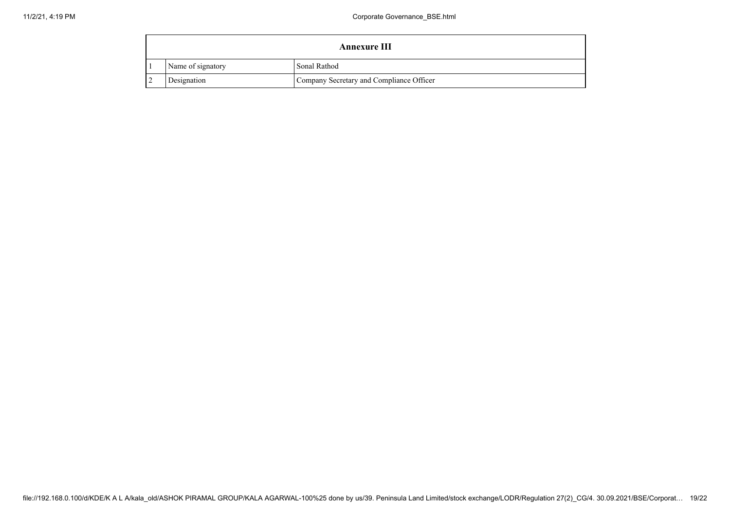| Annexure III      |                                          |  |  |
|-------------------|------------------------------------------|--|--|
| Name of signatory | Sonal Rathod                             |  |  |
| Designation       | Company Secretary and Compliance Officer |  |  |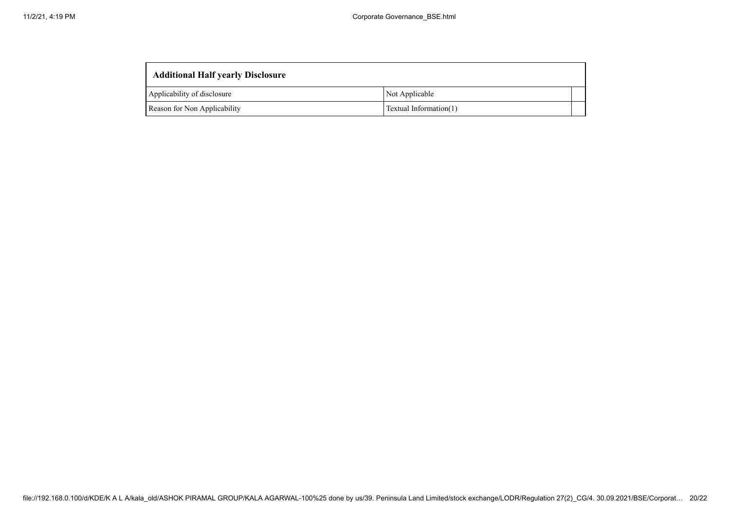| <b>Additional Half yearly Disclosure</b> |                        |  |  |  |
|------------------------------------------|------------------------|--|--|--|
| Applicability of disclosure              | Not Applicable         |  |  |  |
| Reason for Non Applicability             | Textual Information(1) |  |  |  |